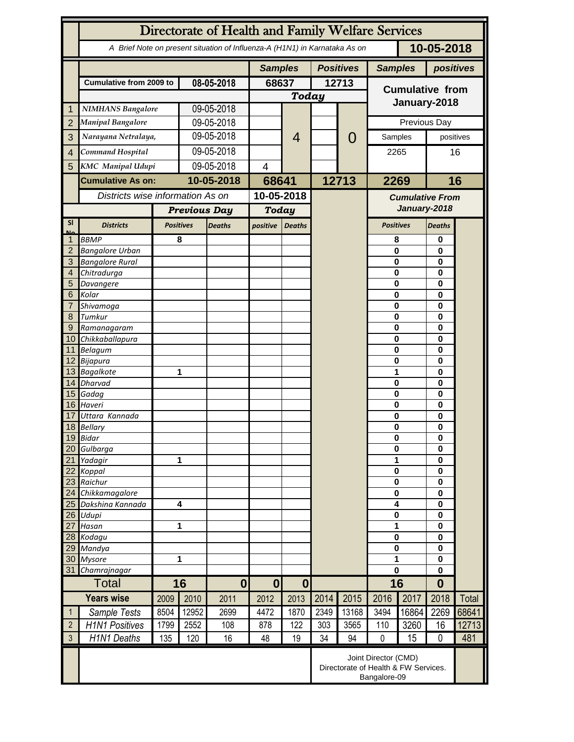|                 | Directorate of Health and Family Welfare Services                                        |                                                                              |                     |                |                |                  |                  |                                        |                        |                      |                      |       |  |
|-----------------|------------------------------------------------------------------------------------------|------------------------------------------------------------------------------|---------------------|----------------|----------------|------------------|------------------|----------------------------------------|------------------------|----------------------|----------------------|-------|--|
|                 | 10-05-2018<br>A Brief Note on present situation of Influenza-A (H1N1) in Karnataka As on |                                                                              |                     |                |                |                  |                  |                                        |                        |                      |                      |       |  |
|                 |                                                                                          |                                                                              |                     | <b>Samples</b> |                |                  | <b>Positives</b> | <b>Samples</b>                         |                        | positives            |                      |       |  |
|                 | <b>Cumulative from 2009 to</b>                                                           |                                                                              | 08-05-2018          |                | 68637          |                  | 12713            |                                        | <b>Cumulative from</b> |                      |                      |       |  |
|                 |                                                                                          |                                                                              |                     |                | <b>Today</b>   |                  |                  |                                        |                        |                      |                      |       |  |
| 1               | <b>NIMHANS Bangalore</b>                                                                 |                                                                              | 09-05-2018          |                |                |                  |                  |                                        |                        | January-2018         |                      |       |  |
| $\overline{2}$  | <b>Manipal Bangalore</b>                                                                 |                                                                              |                     | 09-05-2018     |                |                  |                  |                                        |                        | Previous Day         |                      |       |  |
| 3               | Narayana Netralaya,                                                                      |                                                                              | 09-05-2018          |                |                | 4                |                  | $\mathcal{O}$                          | Samples                |                      | positives            |       |  |
| $\overline{4}$  | Command Hospital                                                                         |                                                                              | 09-05-2018          |                |                |                  |                  |                                        | 2265                   |                      | 16                   |       |  |
| 5               | <b>KMC</b> Manipal Udupi                                                                 |                                                                              | 09-05-2018          |                | $\overline{4}$ |                  |                  |                                        |                        |                      |                      |       |  |
|                 |                                                                                          |                                                                              | 10-05-2018          |                |                |                  |                  |                                        |                        |                      |                      |       |  |
|                 | <b>Cumulative As on:</b>                                                                 |                                                                              |                     |                | 68641          |                  | 12713            |                                        | 2269                   |                      | 16                   |       |  |
|                 | Districts wise information As on                                                         |                                                                              |                     | 10-05-2018     |                |                  |                  | <b>Cumulative From</b><br>January-2018 |                        |                      |                      |       |  |
|                 |                                                                                          |                                                                              | <b>Previous Day</b> |                | <b>Today</b>   |                  |                  |                                        |                        |                      |                      |       |  |
| <b>SI</b><br>Mz | <b>Districts</b>                                                                         |                                                                              | <b>Positives</b>    | <b>Deaths</b>  | positive       | <b>Deaths</b>    |                  |                                        | <b>Positives</b>       |                      | <b>Deaths</b>        |       |  |
|                 | <b>BBMP</b>                                                                              |                                                                              | 8                   |                |                |                  |                  |                                        | 8                      |                      | 0                    |       |  |
| $\overline{2}$  | <b>Bangalore Urban</b>                                                                   |                                                                              |                     |                |                |                  |                  |                                        | $\mathbf{0}$           |                      | 0                    |       |  |
| 3               | <b>Bangalore Rural</b>                                                                   |                                                                              |                     |                |                |                  |                  |                                        | 0                      |                      | $\bf{0}$             |       |  |
| 4               | Chitradurga                                                                              |                                                                              |                     |                |                |                  |                  |                                        | 0<br>0                 |                      | 0                    |       |  |
| 5<br>6          | Davangere<br>Kolar                                                                       |                                                                              |                     |                |                |                  |                  |                                        | 0                      |                      | 0<br>0               |       |  |
| 7               | Shivamoga                                                                                |                                                                              |                     |                |                |                  |                  |                                        | 0                      |                      | 0                    |       |  |
| 8               | Tumkur                                                                                   |                                                                              |                     |                |                |                  |                  |                                        | $\mathbf 0$            |                      | 0                    |       |  |
| 9               | Ramanagaram                                                                              |                                                                              |                     |                |                |                  |                  |                                        | $\mathbf 0$            |                      | 0                    |       |  |
| 10 <sup>°</sup> | Chikkaballapura                                                                          |                                                                              |                     |                |                |                  |                  |                                        | 0                      |                      | 0                    |       |  |
|                 | 11 Belagum                                                                               |                                                                              |                     |                |                |                  |                  |                                        | 0                      |                      | 0                    |       |  |
|                 | 12 Bijapura                                                                              |                                                                              |                     |                |                |                  |                  |                                        | 0                      | $\bf{0}$             |                      |       |  |
|                 | 13 Bagalkote<br>14 Dharvad                                                               |                                                                              |                     | 1              |                |                  |                  |                                        | 1<br>$\mathbf 0$       | $\bf{0}$<br>0        |                      |       |  |
|                 | 15 Gadag                                                                                 |                                                                              |                     |                |                |                  |                  |                                        | $\mathbf 0$            |                      | 0                    |       |  |
|                 | 16 Haveri                                                                                |                                                                              |                     |                |                |                  |                  |                                        | $\mathbf 0$            |                      | $\bf{0}$             |       |  |
| 17              | Uttara Kannada                                                                           |                                                                              |                     |                |                |                  |                  |                                        | 0                      |                      | 0                    | 0     |  |
|                 | 18 Bellary                                                                               |                                                                              |                     |                |                |                  |                  |                                        | 0                      |                      | 0                    |       |  |
|                 | 19 Bidar                                                                                 |                                                                              |                     |                |                |                  |                  |                                        |                        | 0                    |                      |       |  |
| 20              | Gulbarga                                                                                 |                                                                              |                     |                |                |                  |                  |                                        | $\bf{0}$<br>1          |                      | 0                    |       |  |
| 21<br>22        | Yadagir<br>Koppal                                                                        | 1                                                                            |                     |                |                |                  |                  |                                        |                        |                      | 0<br>$\bf{0}$        |       |  |
| 23              | Raichur                                                                                  |                                                                              |                     |                |                |                  |                  |                                        |                        | $\bf{0}$<br>$\bf{0}$ |                      |       |  |
| 24              | Chikkamagalore                                                                           |                                                                              |                     |                |                |                  |                  |                                        | $\bf{0}$               |                      | $\bf{0}$<br>$\bf{0}$ |       |  |
| 25              | Dakshina Kannada                                                                         | $\overline{\mathbf{4}}$                                                      |                     |                |                |                  |                  |                                        | 4                      |                      | $\bf{0}$             |       |  |
| 26              | Udupi                                                                                    |                                                                              |                     |                |                |                  |                  |                                        | $\pmb{0}$              |                      | $\bf{0}$             |       |  |
| 27              | Hasan                                                                                    |                                                                              |                     | 1              |                |                  |                  |                                        | 1                      |                      | $\bf{0}$<br>$\bf{0}$ |       |  |
|                 | 28 Kodagu                                                                                |                                                                              |                     |                |                |                  |                  |                                        |                        | $\pmb{0}$            |                      |       |  |
| 29<br>30        | Mandya<br><b>Mysore</b>                                                                  |                                                                              | 1                   |                |                |                  |                  |                                        | $\bf{0}$<br>1          |                      | $\bf{0}$<br>$\bf{0}$ |       |  |
| 31              | Chamrajnagar                                                                             |                                                                              |                     |                |                |                  |                  |                                        | $\mathbf 0$            |                      | $\bf{0}$             |       |  |
|                 | <b>Total</b>                                                                             |                                                                              | 16<br>$\mathbf{0}$  |                | $\bf{0}$       | $\boldsymbol{0}$ |                  |                                        |                        | 16                   |                      |       |  |
|                 | <b>Years wise</b>                                                                        |                                                                              | 2010                | 2011           | 2012           | 2013             | 2014             | 2015                                   | 2016                   | 2017                 | $\bf{0}$<br>2018     | Total |  |
| $\mathbf{1}$    | Sample Tests                                                                             | 2009<br>8504                                                                 | 12952               | 2699           | 4472           | 1870             | 2349             | 13168                                  | 3494                   | 16864                | 2269                 | 68641 |  |
| $\overline{2}$  | <b>H1N1 Positives</b>                                                                    | 1799                                                                         | 2552                | 108            | 878            | 122              | 303              | 3565                                   | 110                    | 3260                 | 16                   | 12713 |  |
| $\mathfrak{Z}$  | H1N1 Deaths                                                                              | 135                                                                          | 120                 | 16             | 48             | 19               | 34               | 94                                     | $\mathbf 0$            | 15                   | $\mathbf 0$          | 481   |  |
|                 |                                                                                          | Joint Director (CMD)<br>Directorate of Health & FW Services.<br>Bangalore-09 |                     |                |                |                  |                  |                                        |                        |                      |                      |       |  |